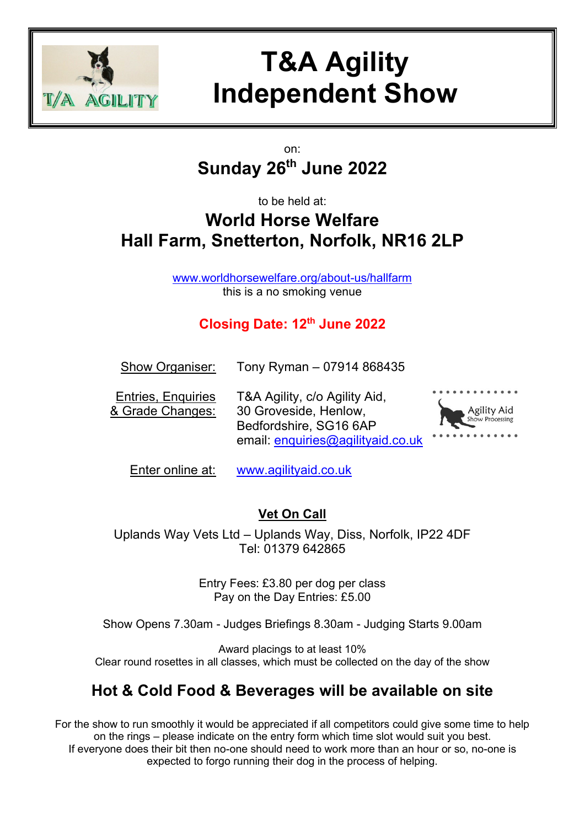

# **T&A Agility Independent Show**

## on: **Sunday 26th June 2022**

# to be held at: **World Horse Welfare Hall Farm, Snetterton, Norfolk, NR16 2LP**

[www.worldhorsewelfare.org/about-us/hallfarm](http://www.worldhorsewelfare.org/about-us/hallfarm) this is a no smoking venue

# **Closing Date: 12 th June 2022**

| <b>Show Organiser:</b> | Tony Ryman - 07914 868435 |
|------------------------|---------------------------|
|------------------------|---------------------------|

Entries, Enquiries T&A Agility, c/o Agility Aid, & Grade Changes: 30 Groveside, Henlow, Bedfordshire, SG16 6AP email: [enquiries@agilityaid.co.uk](mailto:enquiries@agilityaid.co.uk)



Enter online at: [www.agilityaid.co.uk](http://www.agilityaid.co.uk/)

# **Vet On Call**

Uplands Way Vets Ltd – Uplands Way, Diss, Norfolk, IP22 4DF Tel: 01379 642865

> Entry Fees: £3.80 per dog per class Pay on the Day Entries: £5.00

Show Opens 7.30am - Judges Briefings 8.30am - Judging Starts 9.00am

Award placings to at least 10% Clear round rosettes in all classes, which must be collected on the day of the show

# **Hot & Cold Food & Beverages will be available on site**

For the show to run smoothly it would be appreciated if all competitors could give some time to help on the rings – please indicate on the entry form which time slot would suit you best. If everyone does their bit then no-one should need to work more than an hour or so, no-one is expected to forgo running their dog in the process of helping.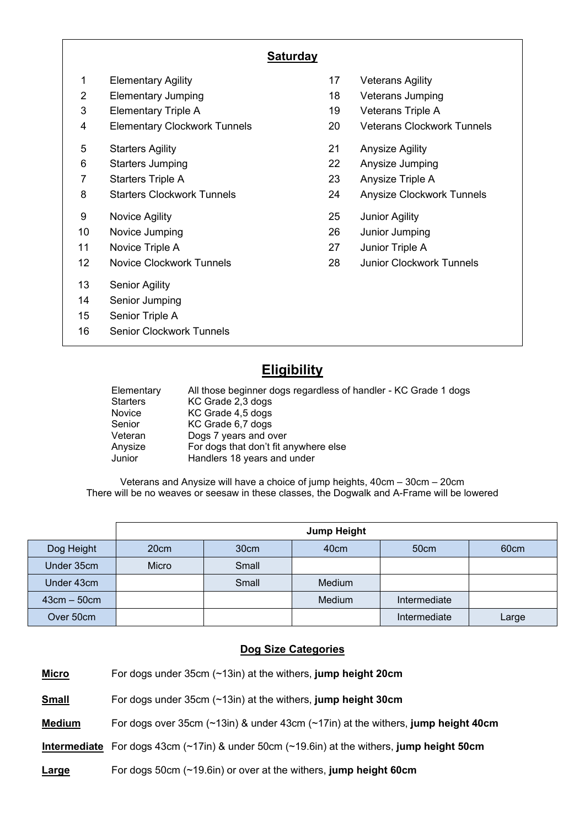### **Saturday**

- 1 Elementary Agility 17 Veterans Agility 2 Elementary Jumping 18 Veterans Jumping 3 Elementary Triple A 19 Veterans Triple A 4 Elementary Clockwork Tunnels 20 Veterans Clockwork Tunnels 5 Starters Agility 21 Anysize Agility 6 Starters Jumping 22 Anysize Jumping 7 Starters Triple A 23 Anysize Triple A 8 Starters Clockwork Tunnels 24 Anysize Clockwork Tunnels 9 Novice Agility 25 Junior Agility 10 Novice Jumping 26 Junior Jumping 11 Novice Triple A 27 Junior Triple A 12 Novice Clockwork Tunnels 28 Junior Clockwork Tunnels 13 Senior Agility 14 Senior Jumping 15 Senior Triple A 16 Senior Clockwork Tunnels
- -
	-
	-
	-
	-
	-
	-
	-
	-
	-
	-

## **Eligibility**

Elementary All those beginner dogs regardless of handler - KC Grade 1 dogs Starters **KC Grade 2,3 dogs** Novice KC Grade 4,5 dogs Senior KC Grade 6,7 dogs Veteran Dogs 7 years and over Anysize For dogs that don't fit anywhere else Junior Handlers 18 years and under

Veterans and Anysize will have a choice of jump heights, 40cm – 30cm – 20cm There will be no weaves or seesaw in these classes, the Dogwalk and A-Frame will be lowered

|               | <b>Jump Height</b> |                  |        |              |                  |  |  |  |  |  |  |
|---------------|--------------------|------------------|--------|--------------|------------------|--|--|--|--|--|--|
| Dog Height    | 20cm               | 30 <sub>cm</sub> | 40cm   | 50cm         | 60 <sub>cm</sub> |  |  |  |  |  |  |
| Under 35cm    | Micro              | Small            |        |              |                  |  |  |  |  |  |  |
| Under 43cm    |                    | Small            | Medium |              |                  |  |  |  |  |  |  |
| $43cm - 50cm$ |                    |                  | Medium | Intermediate |                  |  |  |  |  |  |  |
| Over 50cm     |                    |                  |        | Intermediate | Large            |  |  |  |  |  |  |

#### **Dog Size Categories**

| <b>IVIICTO</b> | For dogs under $35$ cm ( $\approx$ i $3$ m) at the withers, jump neight zuchn                             |
|----------------|-----------------------------------------------------------------------------------------------------------|
| <b>Small</b>   | For dogs under $35cm$ ( $\sim$ 13in) at the withers, jump height 30cm                                     |
| <b>Medium</b>  | For dogs over 35cm $($ ~13in) & under 43cm $($ ~17in) at the withers, jump height 40cm                    |
|                | Intermediate For dogs 43cm $(\sim 17$ in) & under 50cm $(\sim 19.6)$ in) at the withers, jump height 50cm |
| Large          | For dogs 50cm $(\sim 19.6)$ or over at the withers, jump height 60cm                                      |

**Micro** For dogs under 35cm (~13in) at the withers, **jump height 20cm**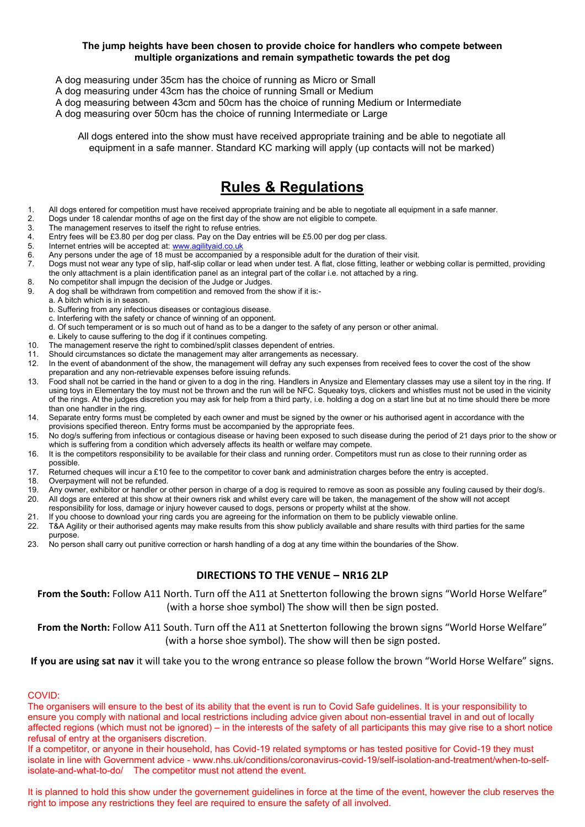#### **The jump heights have been chosen to provide choice for handlers who compete between multiple organizations and remain sympathetic towards the pet dog**

- A dog measuring under 35cm has the choice of running as Micro or Small
- A dog measuring under 43cm has the choice of running Small or Medium
- A dog measuring between 43cm and 50cm has the choice of running Medium or Intermediate
- A dog measuring over 50cm has the choice of running Intermediate or Large

All dogs entered into the show must have received appropriate training and be able to negotiate all equipment in a safe manner. Standard KC marking will apply (up contacts will not be marked)

## **Rules & Regulations**

- 1. All dogs entered for competition must have received appropriate training and be able to negotiate all equipment in a safe manner.<br>2. Dogs under 18 calendar months of age on the first day of the show are not eligible to
- 2. Dogs under 18 calendar months of age on the first day of the show are not eligible to compete.
- 3. The management reserves to itself the right to refuse entries.<br>4. Entry fees will be £3.80 per dog per class. Pay on the Day en
- 4. Entry fees will be £3.80 per dog per class. Pay on the Day entries will be £5.00 per dog per class.<br>5. Internet entries will be accepted at: www.agilityaid.co.uk
- 5. Internet entries will be accepted at[: www.agilityaid.co.uk](http://www.agilityaid.co.uk/)<br>6. Any persons under the age of 18 must be accompanied
- 6. Any persons under the age of 18 must be accompanied by a responsible adult for the duration of their visit.<br>
1. Dogs must not wear any type of slip, half-slip collar or lead when under test. A flat, close fitting, leath
- 7. Dogs must not wear any type of slip, half-slip collar or lead when under test. A flat, close fitting, leather or webbing collar is permitted, providing the only attachment is a plain identification panel as an integral part of the collar i.e. not attached by a ring.
- 8. No competitor shall impugn the decision of the Judge or Judges.
- 9. A dog shall be withdrawn from competition and removed from the show if it is:-
- a. A bitch which is in season.
	- b. Suffering from any infectious diseases or contagious disease.
	- c. Interfering with the safety or chance of winning of an opponent.
	- d. Of such temperament or is so much out of hand as to be a danger to the safety of any person or other animal.
	- e. Likely to cause suffering to the dog if it continues competing.
- 10. The management reserve the right to combined/split classes dependent of entries.
- 11. Should circumstances so dictate the management may alter arrangements as necessary.
- In the event of abandonment of the show, the management will defray any such expenses from received fees to cover the cost of the show preparation and any non-retrievable expenses before issuing refunds.
- 13. Food shall not be carried in the hand or given to a dog in the ring. Handlers in Anysize and Elementary classes may use a silent toy in the ring. If using toys in Elementary the toy must not be thrown and the run will be NFC. Squeaky toys, clickers and whistles must not be used in the vicinity of the rings. At the judges discretion you may ask for help from a third party, i.e. holding a dog on a start line but at no time should there be more than one handler in the ring.
- 14. Separate entry forms must be completed by each owner and must be signed by the owner or his authorised agent in accordance with the provisions specified thereon. Entry forms must be accompanied by the appropriate fees.
- 15. No dog/s suffering from infectious or contagious disease or having been exposed to such disease during the period of 21 days prior to the show or which is suffering from a condition which adversely affects its health or welfare may compete.
- 16. It is the competitors responsibility to be available for their class and running order. Competitors must run as close to their running order as possible.
- 17. Returned cheques will incur a £10 fee to the competitor to cover bank and administration charges before the entry is accepted.
- 18. Overpayment will not be refunded.
- 19. Any owner, exhibitor or handler or other person in charge of a dog is required to remove as soon as possible any fouling caused by their dog/s.<br>20. All dogs are entered at this show at their owners risk and whilst ever
- 20. All dogs are entered at this show at their owners risk and whilst every care will be taken, the management of the show will not accept
- responsibility for loss, damage or injury however caused to dogs, persons or property whilst at the show.
- 21. If you choose to download your ring cards you are agreeing for the information on them to be publicly viewable online.
- 22. T&A Agility or their authorised agents may make results from this show publicly available and share results with third parties for the same purpose.
- 23. No person shall carry out punitive correction or harsh handling of a dog at any time within the boundaries of the Show.

#### **DIRECTIONS TO THE VENUE – NR16 2LP**

**From the South:** Follow A11 North. Turn off the A11 at Snetterton following the brown signs "World Horse Welfare" (with a horse shoe symbol) The show will then be sign posted.

**From the North:** Follow A11 South. Turn off the A11 at Snetterton following the brown signs "World Horse Welfare" (with a horse shoe symbol). The show will then be sign posted.

**If you are using sat nav** it will take you to the wrong entrance so please follow the brown "World Horse Welfare" signs.

#### COVID:

The organisers will ensure to the best of its ability that the event is run to Covid Safe guidelines. It is your responsibility to ensure you comply with national and local restrictions including advice given about non-essential travel in and out of locally affected regions (which must not be ignored) – in the interests of the safety of all participants this may give rise to a short notice refusal of entry at the organisers discretion.

If a competitor, or anyone in their household, has Covid-19 related symptoms or has tested positive for Covid-19 they must isolate in line with Government advice - [www.nhs.uk/conditions/coronavirus-covid-19/self-isolation-and-treatment/when-to-self](http://www.nhs.uk/conditions/coronavirus-covid-19/self-isolation-and-treatment/when-to-self-isolate-and-what-to-do/)[isolate-and-what-to-do/](http://www.nhs.uk/conditions/coronavirus-covid-19/self-isolation-and-treatment/when-to-self-isolate-and-what-to-do/) The competitor must not attend the event.

It is planned to hold this show under the governement guidelines in force at the time of the event, however the club reserves the right to impose any restrictions they feel are required to ensure the safety of all involved.